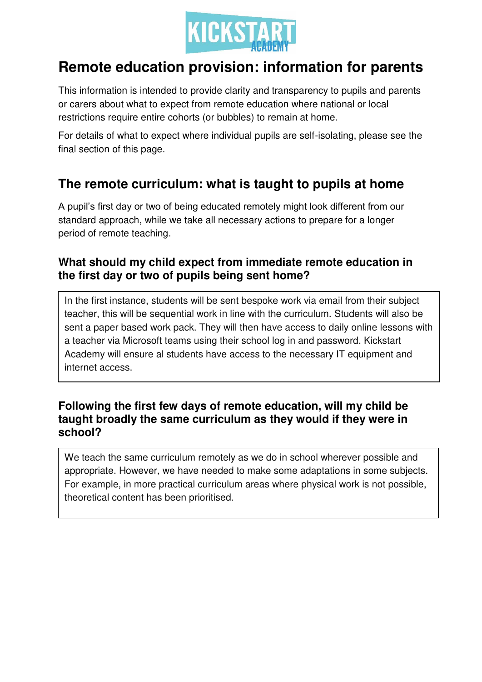

# **Remote education provision: information for parents**

This information is intended to provide clarity and transparency to pupils and parents or carers about what to expect from remote education where national or local restrictions require entire cohorts (or bubbles) to remain at home.

For details of what to expect where individual pupils are self-isolating, please see the final section of this page.

## **The remote curriculum: what is taught to pupils at home**

A pupil's first day or two of being educated remotely might look different from our standard approach, while we take all necessary actions to prepare for a longer period of remote teaching.

## **What should my child expect from immediate remote education in the first day or two of pupils being sent home?**

In the first instance, students will be sent bespoke work via email from their subject teacher, this will be sequential work in line with the curriculum. Students will also be sent a paper based work pack. They will then have access to daily online lessons with a teacher via Microsoft teams using their school log in and password. Kickstart Academy will ensure al students have access to the necessary IT equipment and internet access.

## **Following the first few days of remote education, will my child be taught broadly the same curriculum as they would if they were in school?**

We teach the same curriculum remotely as we do in school wherever possible and appropriate. However, we have needed to make some adaptations in some subjects. For example, in more practical curriculum areas where physical work is not possible, theoretical content has been prioritised.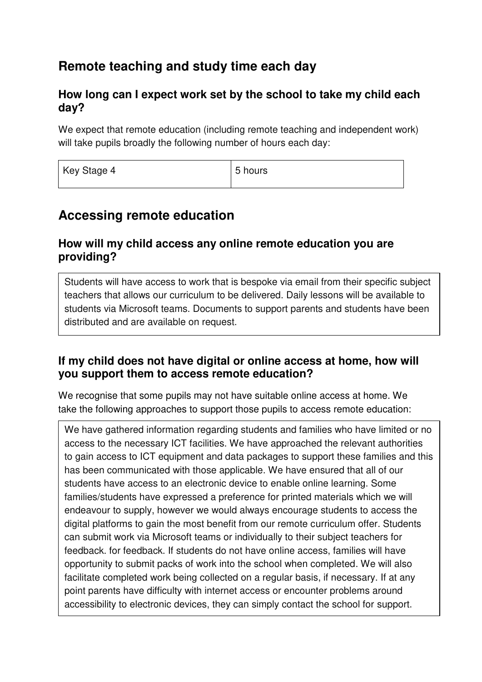## **Remote teaching and study time each day**

#### **How long can I expect work set by the school to take my child each day?**

We expect that remote education (including remote teaching and independent work) will take pupils broadly the following number of hours each day:

| Key Stage 4 | 5 hours |
|-------------|---------|
|             |         |

## **Accessing remote education**

### **How will my child access any online remote education you are providing?**

Students will have access to work that is bespoke via email from their specific subject teachers that allows our curriculum to be delivered. Daily lessons will be available to students via Microsoft teams. Documents to support parents and students have been distributed and are available on request.

### **If my child does not have digital or online access at home, how will you support them to access remote education?**

We recognise that some pupils may not have suitable online access at home. We take the following approaches to support those pupils to access remote education:

We have gathered information regarding students and families who have limited or no access to the necessary ICT facilities. We have approached the relevant authorities to gain access to ICT equipment and data packages to support these families and this has been communicated with those applicable. We have ensured that all of our students have access to an electronic device to enable online learning. Some families/students have expressed a preference for printed materials which we will endeavour to supply, however we would always encourage students to access the digital platforms to gain the most benefit from our remote curriculum offer. Students can submit work via Microsoft teams or individually to their subject teachers for feedback. for feedback. If students do not have online access, families will have opportunity to submit packs of work into the school when completed. We will also facilitate completed work being collected on a regular basis, if necessary. If at any point parents have difficulty with internet access or encounter problems around accessibility to electronic devices, they can simply contact the school for support.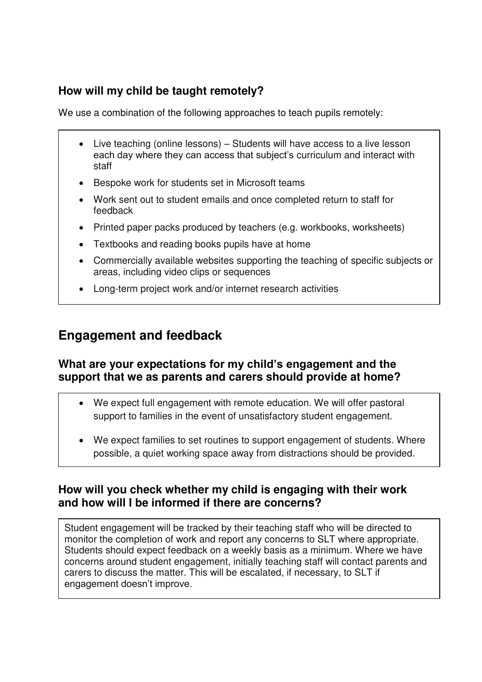## **How will my child be taught remotely?**

We use a combination of the following approaches to teach pupils remotely:

- Live teaching (online lessons) Students will have access to a live lesson each day where they can access that subject's curriculum and interact with staff
- Bespoke work for students set in Microsoft teams
- Work sent out to student emails and once completed return to staff for feedback
- Printed paper packs produced by teachers (e.g. workbooks, worksheets)
- Textbooks and reading books pupils have at home
- Commercially available websites supporting the teaching of specific subjects or areas, including video clips or sequences
- Long-term project work and/or internet research activities

## **Engagement and feedback**

•

### **What are your expectations for my child's engagement and the support that we as parents and carers should provide at home?**

- We expect full engagement with remote education. We will offer pastoral support to families in the event of unsatisfactory student engagement.
- We expect families to set routines to support engagement of students. Where possible, a quiet working space away from distractions should be provided.

### **How will you check whether my child is engaging with their work and how will I be informed if there are concerns?**

Student engagement will be tracked by their teaching staff who will be directed to monitor the completion of work and report any concerns to SLT where appropriate. Students should expect feedback on a weekly basis as a minimum. Where we have concerns around student engagement, initially teaching staff will contact parents and carers to discuss the matter. This will be escalated, if necessary, to SLT if engagement doesn't improve.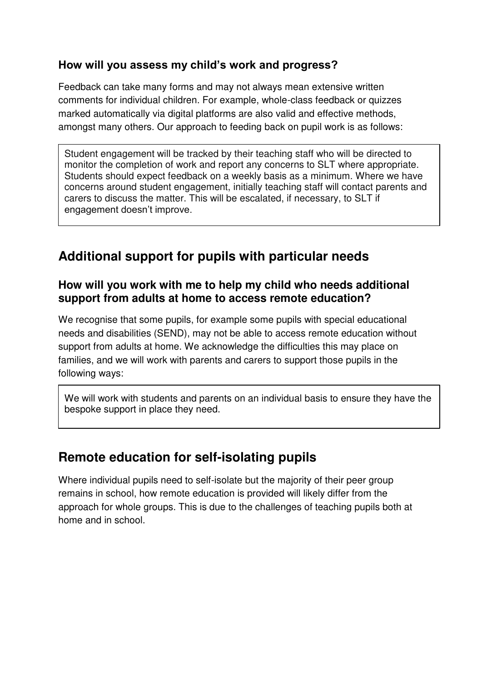## **How will you assess my child's work and progress?**

Feedback can take many forms and may not always mean extensive written comments for individual children. For example, whole-class feedback or quizzes marked automatically via digital platforms are also valid and effective methods, amongst many others. Our approach to feeding back on pupil work is as follows:

Student engagement will be tracked by their teaching staff who will be directed to monitor the completion of work and report any concerns to SLT where appropriate. Students should expect feedback on a weekly basis as a minimum. Where we have concerns around student engagement, initially teaching staff will contact parents and carers to discuss the matter. This will be escalated, if necessary, to SLT if engagement doesn't improve.

## **Additional support for pupils with particular needs**

### **How will you work with me to help my child who needs additional support from adults at home to access remote education?**

We recognise that some pupils, for example some pupils with special educational needs and disabilities (SEND), may not be able to access remote education without support from adults at home. We acknowledge the difficulties this may place on families, and we will work with parents and carers to support those pupils in the following ways:

We will work with students and parents on an individual basis to ensure they have the bespoke support in place they need.

## **Remote education for self-isolating pupils**

Where individual pupils need to self-isolate but the majority of their peer group remains in school, how remote education is provided will likely differ from the approach for whole groups. This is due to the challenges of teaching pupils both at home and in school.